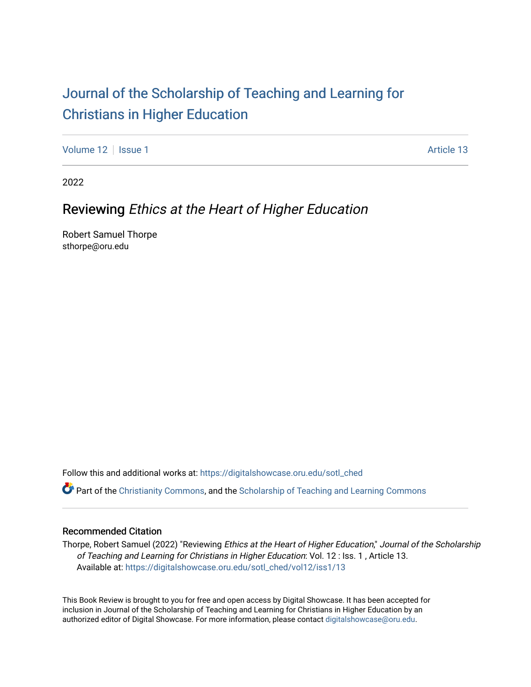## [Journal of the Scholarship of Teaching and Learning for](https://digitalshowcase.oru.edu/sotl_ched)  [Christians in Higher Education](https://digitalshowcase.oru.edu/sotl_ched)

[Volume 12](https://digitalshowcase.oru.edu/sotl_ched/vol12) | [Issue 1](https://digitalshowcase.oru.edu/sotl_ched/vol12/iss1) Article 13

2022

## Reviewing Ethics at the Heart of Higher Education

Robert Samuel Thorpe sthorpe@oru.edu

Follow this and additional works at: [https://digitalshowcase.oru.edu/sotl\\_ched](https://digitalshowcase.oru.edu/sotl_ched?utm_source=digitalshowcase.oru.edu%2Fsotl_ched%2Fvol12%2Fiss1%2F13&utm_medium=PDF&utm_campaign=PDFCoverPages) 

Part of the [Christianity Commons,](https://network.bepress.com/hgg/discipline/1181?utm_source=digitalshowcase.oru.edu%2Fsotl_ched%2Fvol12%2Fiss1%2F13&utm_medium=PDF&utm_campaign=PDFCoverPages) and the [Scholarship of Teaching and Learning Commons](https://network.bepress.com/hgg/discipline/1328?utm_source=digitalshowcase.oru.edu%2Fsotl_ched%2Fvol12%2Fiss1%2F13&utm_medium=PDF&utm_campaign=PDFCoverPages) 

## Recommended Citation

Thorpe, Robert Samuel (2022) "Reviewing Ethics at the Heart of Higher Education," Journal of the Scholarship of Teaching and Learning for Christians in Higher Education: Vol. 12 : Iss. 1 , Article 13. Available at: [https://digitalshowcase.oru.edu/sotl\\_ched/vol12/iss1/13](https://digitalshowcase.oru.edu/sotl_ched/vol12/iss1/13?utm_source=digitalshowcase.oru.edu%2Fsotl_ched%2Fvol12%2Fiss1%2F13&utm_medium=PDF&utm_campaign=PDFCoverPages) 

This Book Review is brought to you for free and open access by Digital Showcase. It has been accepted for inclusion in Journal of the Scholarship of Teaching and Learning for Christians in Higher Education by an authorized editor of Digital Showcase. For more information, please contact [digitalshowcase@oru.edu.](mailto:digitalshowcase@oru.edu)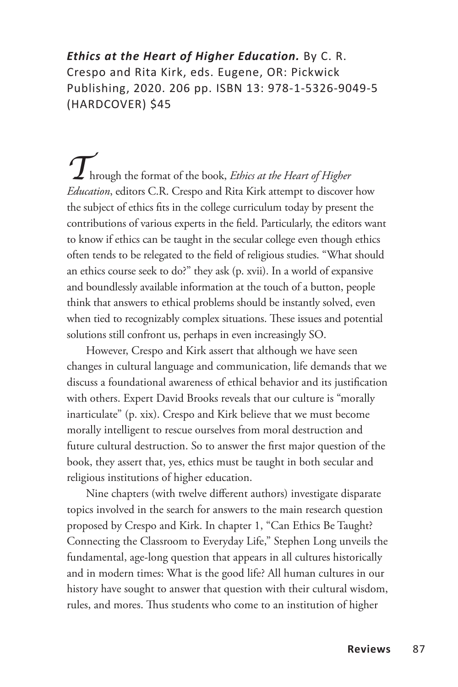*Ethics at the Heart of Higher Education.* By C. R. Crespo and Rita Kirk, eds. Eugene, OR: Pickwick Publishing, 2020. 206 pp. ISBN 13: 978-1-5326-9049-5 (HARDCOVER) \$45

*T*hrough the format of the book, *Ethics at the Heart of Higher Education*, editors C.R. Crespo and Rita Kirk attempt to discover how the subject of ethics fits in the college curriculum today by present the contributions of various experts in the field. Particularly, the editors want to know if ethics can be taught in the secular college even though ethics often tends to be relegated to the field of religious studies. "What should an ethics course seek to do?" they ask (p. xvii). In a world of expansive and boundlessly available information at the touch of a button, people think that answers to ethical problems should be instantly solved, even when tied to recognizably complex situations. These issues and potential solutions still confront us, perhaps in even increasingly SO.

However, Crespo and Kirk assert that although we have seen changes in cultural language and communication, life demands that we discuss a foundational awareness of ethical behavior and its justification with others. Expert David Brooks reveals that our culture is "morally inarticulate" (p. xix). Crespo and Kirk believe that we must become morally intelligent to rescue ourselves from moral destruction and future cultural destruction. So to answer the first major question of the book, they assert that, yes, ethics must be taught in both secular and religious institutions of higher education.

Nine chapters (with twelve different authors) investigate disparate topics involved in the search for answers to the main research question proposed by Crespo and Kirk. In chapter 1, "Can Ethics Be Taught? Connecting the Classroom to Everyday Life," Stephen Long unveils the fundamental, age-long question that appears in all cultures historically and in modern times: What is the good life? All human cultures in our history have sought to answer that question with their cultural wisdom, rules, and mores. Thus students who come to an institution of higher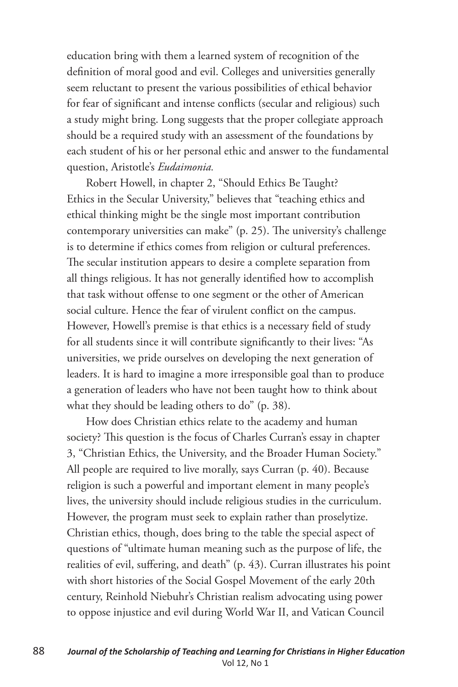education bring with them a learned system of recognition of the definition of moral good and evil. Colleges and universities generally seem reluctant to present the various possibilities of ethical behavior for fear of significant and intense conflicts (secular and religious) such a study might bring. Long suggests that the proper collegiate approach should be a required study with an assessment of the foundations by each student of his or her personal ethic and answer to the fundamental question, Aristotle's *Eudaimonia.*

Robert Howell, in chapter 2, "Should Ethics Be Taught? Ethics in the Secular University," believes that "teaching ethics and ethical thinking might be the single most important contribution contemporary universities can make" (p. 25). The university's challenge is to determine if ethics comes from religion or cultural preferences. The secular institution appears to desire a complete separation from all things religious. It has not generally identified how to accomplish that task without offense to one segment or the other of American social culture. Hence the fear of virulent conflict on the campus. However, Howell's premise is that ethics is a necessary field of study for all students since it will contribute significantly to their lives: "As universities, we pride ourselves on developing the next generation of leaders. It is hard to imagine a more irresponsible goal than to produce a generation of leaders who have not been taught how to think about what they should be leading others to do" (p. 38).

How does Christian ethics relate to the academy and human society? This question is the focus of Charles Curran's essay in chapter 3, "Christian Ethics, the University, and the Broader Human Society." All people are required to live morally, says Curran (p. 40). Because religion is such a powerful and important element in many people's lives, the university should include religious studies in the curriculum. However, the program must seek to explain rather than proselytize. Christian ethics, though, does bring to the table the special aspect of questions of "ultimate human meaning such as the purpose of life, the realities of evil, suffering, and death" (p. 43). Curran illustrates his point with short histories of the Social Gospel Movement of the early 20th century, Reinhold Niebuhr's Christian realism advocating using power to oppose injustice and evil during World War II, and Vatican Council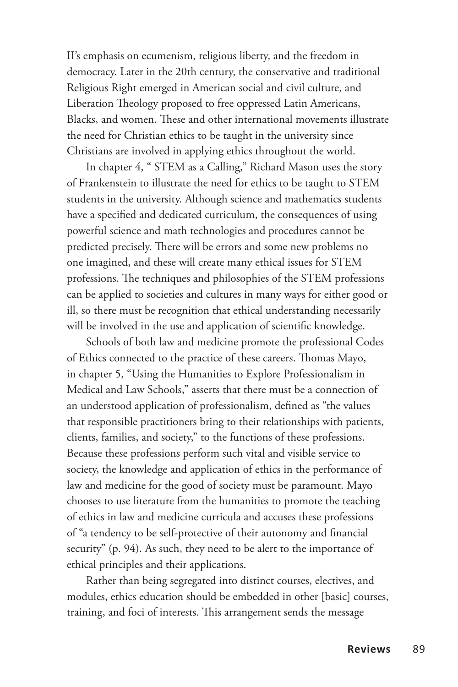II's emphasis on ecumenism, religious liberty, and the freedom in democracy. Later in the 20th century, the conservative and traditional Religious Right emerged in American social and civil culture, and Liberation Theology proposed to free oppressed Latin Americans, Blacks, and women. These and other international movements illustrate the need for Christian ethics to be taught in the university since Christians are involved in applying ethics throughout the world.

In chapter 4, " STEM as a Calling," Richard Mason uses the story of Frankenstein to illustrate the need for ethics to be taught to STEM students in the university. Although science and mathematics students have a specified and dedicated curriculum, the consequences of using powerful science and math technologies and procedures cannot be predicted precisely. There will be errors and some new problems no one imagined, and these will create many ethical issues for STEM professions. The techniques and philosophies of the STEM professions can be applied to societies and cultures in many ways for either good or ill, so there must be recognition that ethical understanding necessarily will be involved in the use and application of scientific knowledge.

Schools of both law and medicine promote the professional Codes of Ethics connected to the practice of these careers. Thomas Mayo, in chapter 5, "Using the Humanities to Explore Professionalism in Medical and Law Schools," asserts that there must be a connection of an understood application of professionalism, defined as "the values that responsible practitioners bring to their relationships with patients, clients, families, and society," to the functions of these professions. Because these professions perform such vital and visible service to society, the knowledge and application of ethics in the performance of law and medicine for the good of society must be paramount. Mayo chooses to use literature from the humanities to promote the teaching of ethics in law and medicine curricula and accuses these professions of "a tendency to be self-protective of their autonomy and financial security" (p. 94). As such, they need to be alert to the importance of ethical principles and their applications.

Rather than being segregated into distinct courses, electives, and modules, ethics education should be embedded in other [basic] courses, training, and foci of interests. This arrangement sends the message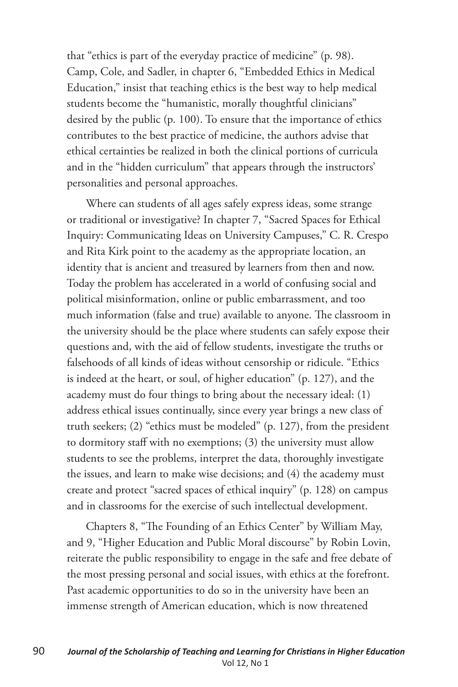that "ethics is part of the everyday practice of medicine" (p. 98). Camp, Cole, and Sadler, in chapter 6, "Embedded Ethics in Medical Education," insist that teaching ethics is the best way to help medical students become the "humanistic, morally thoughtful clinicians" desired by the public (p. 100). To ensure that the importance of ethics contributes to the best practice of medicine, the authors advise that ethical certainties be realized in both the clinical portions of curricula and in the "hidden curriculum" that appears through the instructors' personalities and personal approaches.

Where can students of all ages safely express ideas, some strange or traditional or investigative? In chapter 7, "Sacred Spaces for Ethical Inquiry: Communicating Ideas on University Campuses," C. R. Crespo and Rita Kirk point to the academy as the appropriate location, an identity that is ancient and treasured by learners from then and now. Today the problem has accelerated in a world of confusing social and political misinformation, online or public embarrassment, and too much information (false and true) available to anyone. The classroom in the university should be the place where students can safely expose their questions and, with the aid of fellow students, investigate the truths or falsehoods of all kinds of ideas without censorship or ridicule. "Ethics is indeed at the heart, or soul, of higher education" (p. 127), and the academy must do four things to bring about the necessary ideal: (1) address ethical issues continually, since every year brings a new class of truth seekers; (2) "ethics must be modeled" (p. 127), from the president to dormitory staff with no exemptions; (3) the university must allow students to see the problems, interpret the data, thoroughly investigate the issues, and learn to make wise decisions; and (4) the academy must create and protect "sacred spaces of ethical inquiry" (p. 128) on campus and in classrooms for the exercise of such intellectual development.

Chapters 8, "The Founding of an Ethics Center" by William May, and 9, "Higher Education and Public Moral discourse" by Robin Lovin, reiterate the public responsibility to engage in the safe and free debate of the most pressing personal and social issues, with ethics at the forefront. Past academic opportunities to do so in the university have been an immense strength of American education, which is now threatened